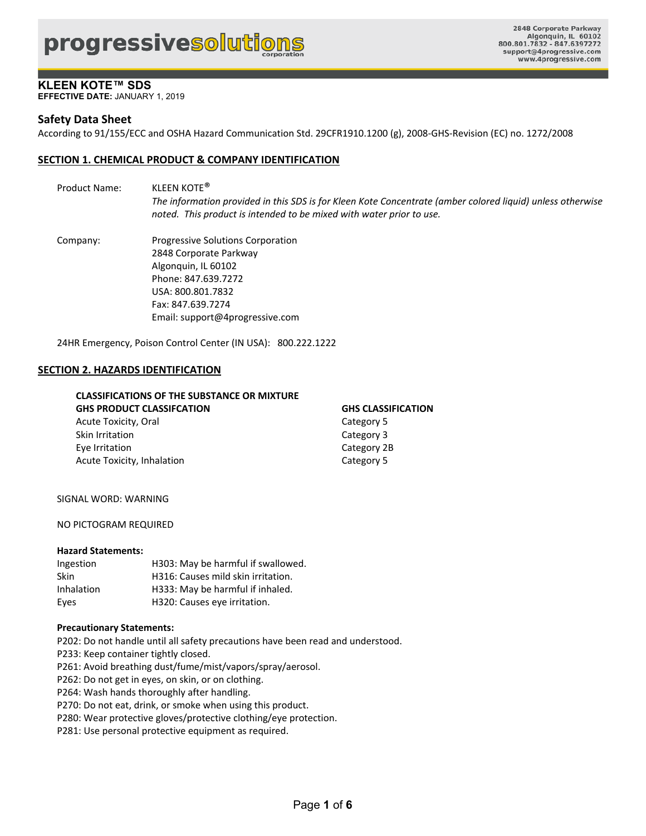**EFFECTIVE DATE:** JANUARY 1, 2019

## **Safety Data Sheet**

According to 91/155/ECC and OSHA Hazard Communication Std. 29CFR1910.1200 (g), 2008‐GHS‐Revision (EC) no. 1272/2008

### **SECTION 1. CHEMICAL PRODUCT & COMPANY IDENTIFICATION**

Product Name: KLEEN KOTE® *The information provided in this SDS is for Kleen Kote Concentrate (amber colored liquid) unless otherwise noted. This product is intended to be mixed with water prior to use.* 

Company: Progressive Solutions Corporation 2848 Corporate Parkway Algonquin, IL 60102 Phone: 847.639.7272 USA: 800.801.7832 Fax: 847.639.7274 Email: support@4progressive.com

24HR Emergency, Poison Control Center (IN USA): 800.222.1222

#### **SECTION 2. HAZARDS IDENTIFICATION**

### **CLASSIFICATIONS OF THE SUBSTANCE OR MIXTURE GHS PRODUCT CLASSIFCATION GHS CLASSIFICATION**  Acute Toxicity, Oral **Category 5** and Category 5 Skin Irritation **Category 3** Eye Irritation **Category 2B**

Acute Toxicity, Inhalation **and Science Category 5** 

#### SIGNAL WORD: WARNING

NO PICTOGRAM REQUIRED

#### **Hazard Statements:**

| Ingestion  | H303: May be harmful if swallowed. |
|------------|------------------------------------|
| Skin       | H316: Causes mild skin irritation. |
| Inhalation | H333: May be harmful if inhaled.   |
| Eyes       | H320: Causes eye irritation.       |

#### **Precautionary Statements:**

P202: Do not handle until all safety precautions have been read and understood.

- P233: Keep container tightly closed.
- P261: Avoid breathing dust/fume/mist/vapors/spray/aerosol.
- P262: Do not get in eyes, on skin, or on clothing.
- P264: Wash hands thoroughly after handling.
- P270: Do not eat, drink, or smoke when using this product.
- P280: Wear protective gloves/protective clothing/eye protection.
- P281: Use personal protective equipment as required.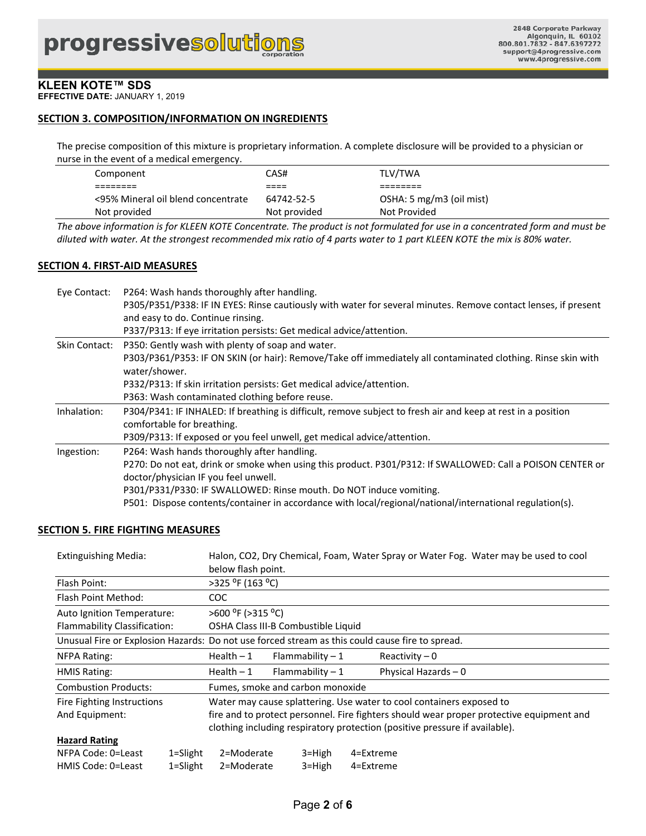**EFFECTIVE DATE:** JANUARY 1, 2019

### **SECTION 3. COMPOSITION/INFORMATION ON INGREDIENTS**

The precise composition of this mixture is proprietary information. A complete disclosure will be provided to a physician or nurse in the event of a medical emergency.

| Component                          | CAS#         | TLV/TWA                  |
|------------------------------------|--------------|--------------------------|
|                                    | ----<br>---- |                          |
| <95% Mineral oil blend concentrate | 64742-52-5   | OSHA: 5 mg/m3 (oil mist) |
| Not provided                       | Not provided | Not Provided             |

*The above information is for KLEEN KOTE Concentrate. The product is not formulated for use in a concentrated form and must be diluted with water. At the strongest recommended mix ratio of 4 parts water to 1 part KLEEN KOTE the mix is 80% water.* 

#### **SECTION 4. FIRST‐AID MEASURES**

| Eye Contact:  | P264: Wash hands thoroughly after handling.                                                                                                |
|---------------|--------------------------------------------------------------------------------------------------------------------------------------------|
|               | P305/P351/P338: IF IN EYES: Rinse cautiously with water for several minutes. Remove contact lenses, if present                             |
|               | and easy to do. Continue rinsing.                                                                                                          |
|               | P337/P313: If eye irritation persists: Get medical advice/attention.                                                                       |
| Skin Contact: | P350: Gently wash with plenty of soap and water.                                                                                           |
|               | P303/P361/P353: IF ON SKIN (or hair): Remove/Take off immediately all contaminated clothing. Rinse skin with<br>water/shower.              |
|               | P332/P313: If skin irritation persists: Get medical advice/attention.                                                                      |
|               | P363: Wash contaminated clothing before reuse.                                                                                             |
| Inhalation:   | P304/P341: IF INHALED: If breathing is difficult, remove subject to fresh air and keep at rest in a position<br>comfortable for breathing. |
|               | P309/P313: If exposed or you feel unwell, get medical advice/attention.                                                                    |
| Ingestion:    | P264: Wash hands thoroughly after handling.                                                                                                |
|               | P270: Do not eat, drink or smoke when using this product. P301/P312: If SWALLOWED: Call a POISON CENTER or                                 |
|               | doctor/physician IF you feel unwell.                                                                                                       |
|               | P301/P331/P330: IF SWALLOWED: Rinse mouth. Do NOT induce vomiting.                                                                         |
|               | P501: Dispose contents/container in accordance with local/regional/national/international regulation(s).                                   |

#### **SECTION 5. FIRE FIGHTING MEASURES**

| <b>Extinguishing Media:</b>                                                       |                                                                      | Halon, CO2, Dry Chemical, Foam, Water Spray or Water Fog. Water may be used to cool<br>below flash point. |                                     |           |                 |
|-----------------------------------------------------------------------------------|----------------------------------------------------------------------|-----------------------------------------------------------------------------------------------------------|-------------------------------------|-----------|-----------------|
| Flash Point:                                                                      |                                                                      | >325 °F (163 °C)                                                                                          |                                     |           |                 |
| Flash Point Method:                                                               |                                                                      | COC.                                                                                                      |                                     |           |                 |
| Auto Ignition Temperature:                                                        |                                                                      | $>600$ <sup>o</sup> F ( $>315$ <sup>o</sup> C)                                                            |                                     |           |                 |
| Flammability Classification:                                                      |                                                                      |                                                                                                           | OSHA Class III-B Combustible Liquid |           |                 |
|                                                                                   |                                                                      | Unusual Fire or Explosion Hazards: Do not use forced stream as this could cause fire to spread.           |                                     |           |                 |
| NFPA Rating:                                                                      |                                                                      | $Health - 1$                                                                                              | Flammability $-1$                   |           | Reactivity $-0$ |
| $Health - 1$<br>Flammability $-1$<br>Physical Hazards $-0$<br><b>HMIS Rating:</b> |                                                                      |                                                                                                           |                                     |           |                 |
| Fumes, smoke and carbon monoxide<br><b>Combustion Products:</b>                   |                                                                      |                                                                                                           |                                     |           |                 |
| Fire Fighting Instructions                                                        | Water may cause splattering. Use water to cool containers exposed to |                                                                                                           |                                     |           |                 |
| And Equipment:                                                                    |                                                                      | fire and to protect personnel. Fire fighters should wear proper protective equipment and                  |                                     |           |                 |
|                                                                                   |                                                                      | clothing including respiratory protection (positive pressure if available).                               |                                     |           |                 |
| <b>Hazard Rating</b>                                                              |                                                                      |                                                                                                           |                                     |           |                 |
| NFPA Code: 0=Least                                                                | $1 =$ Slight                                                         | 2=Moderate                                                                                                | $3 = High$                          | 4=Extreme |                 |
| HMIS Code: 0=Least<br>$1 =$ Slight                                                |                                                                      | 2=Moderate                                                                                                | $3 =$ High                          | 4=Extreme |                 |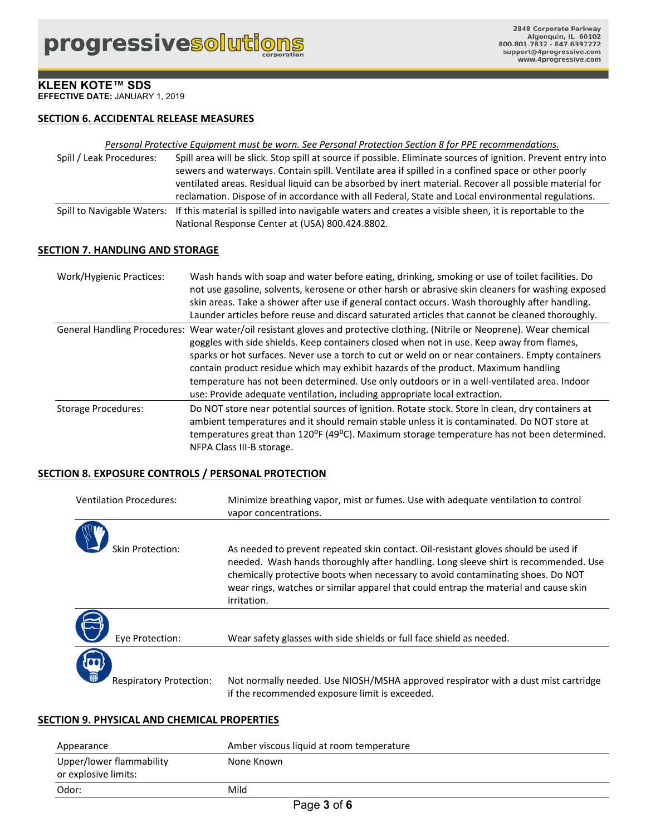**EFFECTIVE DATE:** JANUARY 1, 2019

## **SECTION 6. ACCIDENTAL RELEASE MEASURES**

#### *Personal Protective Equipment must be worn. See Personal Protection Section 8 for PPE recommendations.*

| Spill / Leak Procedures: | Spill area will be slick. Stop spill at source if possible. Eliminate sources of ignition. Prevent entry into                     |
|--------------------------|-----------------------------------------------------------------------------------------------------------------------------------|
|                          | sewers and waterways. Contain spill. Ventilate area if spilled in a confined space or other poorly                                |
|                          | ventilated areas. Residual liquid can be absorbed by inert material. Recover all possible material for                            |
|                          | reclamation. Dispose of in accordance with all Federal, State and Local environmental regulations.                                |
|                          | Spill to Navigable Waters: If this material is spilled into navigable waters and creates a visible sheen, it is reportable to the |
|                          | National Response Center at (USA) 800.424.8802.                                                                                   |

#### **SECTION 7. HANDLING AND STORAGE**

| <b>Work/Hygienic Practices:</b> | Wash hands with soap and water before eating, drinking, smoking or use of toilet facilities. Do<br>not use gasoline, solvents, kerosene or other harsh or abrasive skin cleaners for washing exposed<br>skin areas. Take a shower after use if general contact occurs. Wash thoroughly after handling.<br>Launder articles before reuse and discard saturated articles that cannot be cleaned thoroughly.                                                                                                                                                                                      |
|---------------------------------|------------------------------------------------------------------------------------------------------------------------------------------------------------------------------------------------------------------------------------------------------------------------------------------------------------------------------------------------------------------------------------------------------------------------------------------------------------------------------------------------------------------------------------------------------------------------------------------------|
|                                 | General Handling Procedures: Wear water/oil resistant gloves and protective clothing. (Nitrile or Neoprene). Wear chemical<br>goggles with side shields. Keep containers closed when not in use. Keep away from flames,<br>sparks or hot surfaces. Never use a torch to cut or weld on or near containers. Empty containers<br>contain product residue which may exhibit hazards of the product. Maximum handling<br>temperature has not been determined. Use only outdoors or in a well-ventilated area. Indoor<br>use: Provide adequate ventilation, including appropriate local extraction. |
| <b>Storage Procedures:</b>      | Do NOT store near potential sources of ignition. Rotate stock. Store in clean, dry containers at<br>ambient temperatures and it should remain stable unless it is contaminated. Do NOT store at<br>temperatures great than 120 <sup>o</sup> F (49 <sup>o</sup> C). Maximum storage temperature has not been determined.<br>NFPA Class III-B storage.                                                                                                                                                                                                                                           |

#### **SECTION 8. EXPOSURE CONTROLS / PERSONAL PROTECTION**

| <b>Ventilation Procedures:</b> | Minimize breathing vapor, mist or fumes. Use with adequate ventilation to control<br>vapor concentrations.                                                                             |
|--------------------------------|----------------------------------------------------------------------------------------------------------------------------------------------------------------------------------------|
| Skin Protection:               | As needed to prevent repeated skin contact. Oil-resistant gloves should be used if<br>needed. Wash hands thoroughly after handling. Long sleeve shirt is recommended. Use              |
|                                | chemically protective boots when necessary to avoid contaminating shoes. Do NOT<br>wear rings, watches or similar apparel that could entrap the material and cause skin<br>irritation. |
| Eye Protection:                | Wear safety glasses with side shields or full face shield as needed.                                                                                                                   |
| <b>Respiratory Protection:</b> | Not normally needed. Use NIOSH/MSHA approved respirator with a dust mist cartridge<br>if the recommended exposure limit is exceeded.                                                   |

## **SECTION 9. PHYSICAL AND CHEMICAL PROPERTIES**

| Appearance                                       | Amber viscous liquid at room temperature |
|--------------------------------------------------|------------------------------------------|
| Upper/lower flammability<br>or explosive limits: | None Known                               |
| Odor:                                            | Mild                                     |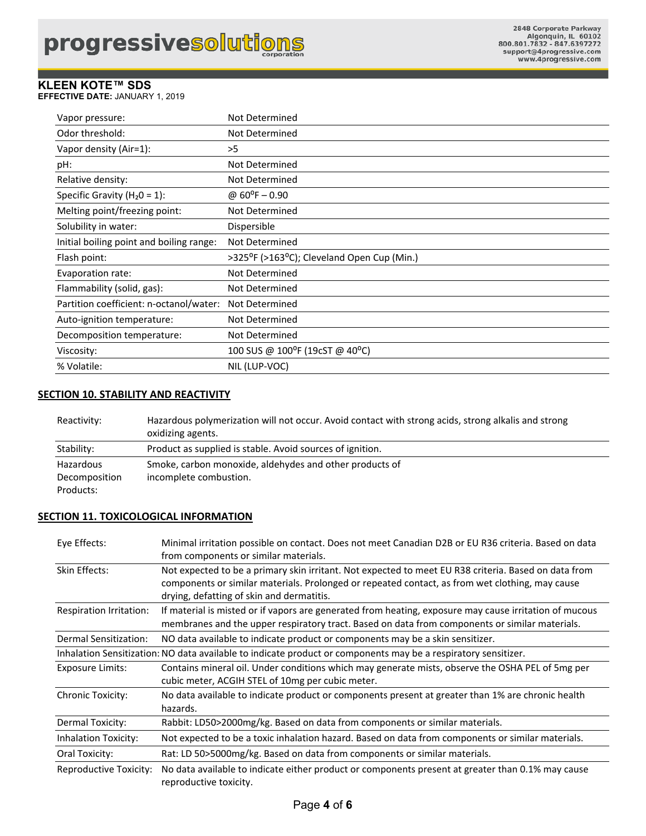**EFFECTIVE DATE:** JANUARY 1, 2019

| Vapor pressure:                          | Not Determined                                                       |
|------------------------------------------|----------------------------------------------------------------------|
| Odor threshold:                          | Not Determined                                                       |
| Vapor density (Air=1):                   | >5                                                                   |
| pH:                                      | Not Determined                                                       |
| Relative density:                        | Not Determined                                                       |
| Specific Gravity ( $H_2O = 1$ ):         | @ $60^{\circ}F - 0.90$                                               |
| Melting point/freezing point:            | Not Determined                                                       |
| Solubility in water:                     | Dispersible                                                          |
| Initial boiling point and boiling range: | Not Determined                                                       |
| Flash point:                             | >325 <sup>o</sup> F (>163 <sup>o</sup> C); Cleveland Open Cup (Min.) |
| Evaporation rate:                        | Not Determined                                                       |
| Flammability (solid, gas):               | Not Determined                                                       |
| Partition coefficient: n-octanol/water:  | Not Determined                                                       |
| Auto-ignition temperature:               | Not Determined                                                       |
| Decomposition temperature:               | Not Determined                                                       |
| Viscosity:                               | 100 SUS @ 100°F (19cST @ 40°C)                                       |
| % Volatile:                              | NIL (LUP-VOC)                                                        |

## **SECTION 10. STABILITY AND REACTIVITY**

Reactivity: Hazardous polymerization will not occur. Avoid contact with strong acids, strong alkalis and strong oxidizing agents. Stability: Product as supplied is stable. Avoid sources of ignition. Hazardous Smoke, carbon monoxide, aldehydes and other products of Decomposition incomplete combustion. Products:

## **SECTION 11. TOXICOLOGICAL INFORMATION**

reproductive toxicity.

| Eye Effects:             | Minimal irritation possible on contact. Does not meet Canadian D2B or EU R36 criteria. Based on data<br>from components or similar materials.                                                                                                        |  |
|--------------------------|------------------------------------------------------------------------------------------------------------------------------------------------------------------------------------------------------------------------------------------------------|--|
| Skin Effects:            | Not expected to be a primary skin irritant. Not expected to meet EU R38 criteria. Based on data from<br>components or similar materials. Prolonged or repeated contact, as from wet clothing, may cause<br>drying, defatting of skin and dermatitis. |  |
| Respiration Irritation:  | If material is misted or if vapors are generated from heating, exposure may cause irritation of mucous<br>membranes and the upper respiratory tract. Based on data from components or similar materials.                                             |  |
| Dermal Sensitization:    | NO data available to indicate product or components may be a skin sensitizer.                                                                                                                                                                        |  |
|                          | Inhalation Sensitization: NO data available to indicate product or components may be a respiratory sensitizer.                                                                                                                                       |  |
| Exposure Limits:         | Contains mineral oil. Under conditions which may generate mists, observe the OSHA PEL of 5mg per<br>cubic meter, ACGIH STEL of 10mg per cubic meter.                                                                                                 |  |
| <b>Chronic Toxicity:</b> | No data available to indicate product or components present at greater than 1% are chronic health<br>hazards.                                                                                                                                        |  |
| Dermal Toxicity:         | Rabbit: LD50>2000mg/kg. Based on data from components or similar materials.                                                                                                                                                                          |  |
| Inhalation Toxicity:     | Not expected to be a toxic inhalation hazard. Based on data from components or similar materials.                                                                                                                                                    |  |
| Oral Toxicity:           | Rat: LD 50>5000mg/kg. Based on data from components or similar materials.                                                                                                                                                                            |  |
| Reproductive Toxicity:   | No data available to indicate either product or components present at greater than 0.1% may cause                                                                                                                                                    |  |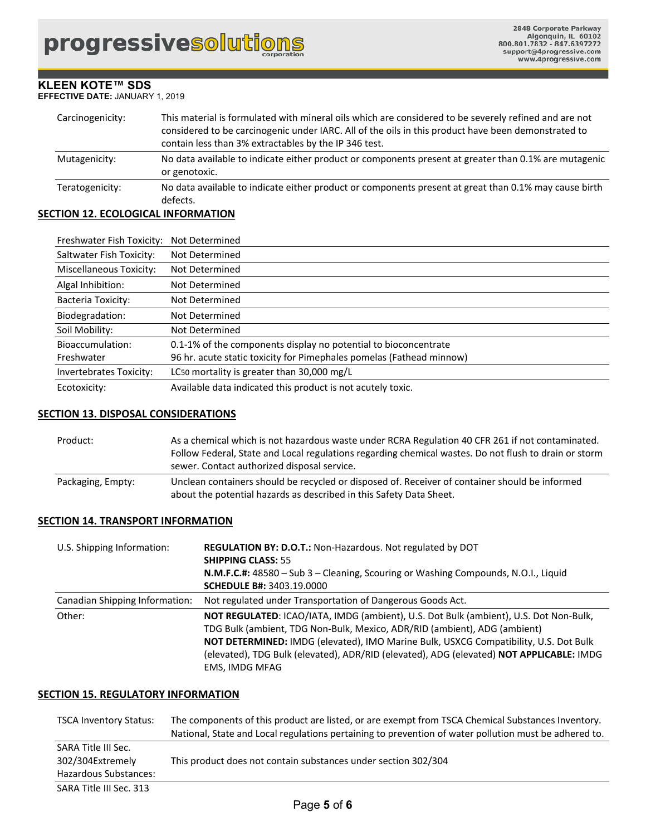#### **KLEEN KOTE™ SDS EFFECTIVE DATE:** JANUARY 1, 2019

| Carcinogenicity: | This material is formulated with mineral oils which are considered to be severely refined and are not<br>considered to be carcinogenic under IARC. All of the oils in this product have been demonstrated to<br>contain less than 3% extractables by the IP 346 test. |
|------------------|-----------------------------------------------------------------------------------------------------------------------------------------------------------------------------------------------------------------------------------------------------------------------|
| Mutagenicity:    | No data available to indicate either product or components present at greater than 0.1% are mutagenic<br>or genotoxic.                                                                                                                                                |
| Teratogenicity:  | No data available to indicate either product or components present at great than 0.1% may cause birth<br>defects.                                                                                                                                                     |

## **SECTION 12. ECOLOGICAL INFORMATION**

| Freshwater Fish Toxicity:      | Not Determined                                                       |
|--------------------------------|----------------------------------------------------------------------|
| Saltwater Fish Toxicity:       | Not Determined                                                       |
| <b>Miscellaneous Toxicity:</b> | Not Determined                                                       |
| Algal Inhibition:              | Not Determined                                                       |
| Bacteria Toxicity:             | Not Determined                                                       |
| Biodegradation:                | Not Determined                                                       |
| Soil Mobility:                 | Not Determined                                                       |
| Bioaccumulation:               | 0.1-1% of the components display no potential to bioconcentrate      |
| Freshwater                     | 96 hr. acute static toxicity for Pimephales pomelas (Fathead minnow) |
| Invertebrates Toxicity:        | LC50 mortality is greater than 30,000 mg/L                           |
| Ecotoxicity:                   | Available data indicated this product is not acutely toxic.          |

## **SECTION 13. DISPOSAL CONSIDERATIONS**

| Product:          | As a chemical which is not hazardous waste under RCRA Regulation 40 CFR 261 if not contaminated.<br>Follow Federal, State and Local regulations regarding chemical wastes. Do not flush to drain or storm<br>sewer. Contact authorized disposal service. |
|-------------------|----------------------------------------------------------------------------------------------------------------------------------------------------------------------------------------------------------------------------------------------------------|
| Packaging, Empty: | Unclean containers should be recycled or disposed of. Receiver of container should be informed<br>about the potential hazards as described in this Safety Data Sheet.                                                                                    |

#### **SECTION 14. TRANSPORT INFORMATION**

| U.S. Shipping Information:     | <b>REGULATION BY: D.O.T.: Non-Hazardous. Not regulated by DOT</b><br><b>SHIPPING CLASS: 55</b><br>N.M.F.C.#: 48580 - Sub 3 - Cleaning, Scouring or Washing Compounds, N.O.I., Liquid<br><b>SCHEDULE B#: 3403.19.0000</b>                                                                                                                                                 |  |
|--------------------------------|--------------------------------------------------------------------------------------------------------------------------------------------------------------------------------------------------------------------------------------------------------------------------------------------------------------------------------------------------------------------------|--|
| Canadian Shipping Information: | Not regulated under Transportation of Dangerous Goods Act.                                                                                                                                                                                                                                                                                                               |  |
| Other:                         | NOT REGULATED: ICAO/IATA, IMDG (ambient), U.S. Dot Bulk (ambient), U.S. Dot Non-Bulk,<br>TDG Bulk (ambient, TDG Non-Bulk, Mexico, ADR/RID (ambient), ADG (ambient)<br>NOT DETERMINED: IMDG (elevated), IMO Marine Bulk, USXCG Compatibility, U.S. Dot Bulk<br>(elevated), TDG Bulk (elevated), ADR/RID (elevated), ADG (elevated) NOT APPLICABLE: IMDG<br>EMS, IMDG MFAG |  |

#### **SECTION 15. REGULATORY INFORMATION**

| <b>TSCA Inventory Status:</b>                                    | The components of this product are listed, or are exempt from TSCA Chemical Substances Inventory.<br>National, State and Local regulations pertaining to prevention of water pollution must be adhered to. |
|------------------------------------------------------------------|------------------------------------------------------------------------------------------------------------------------------------------------------------------------------------------------------------|
| SARA Title III Sec.<br>302/304Extremely<br>Hazardous Substances: | This product does not contain substances under section 302/304                                                                                                                                             |
| SARA Title III Sec. 313                                          |                                                                                                                                                                                                            |